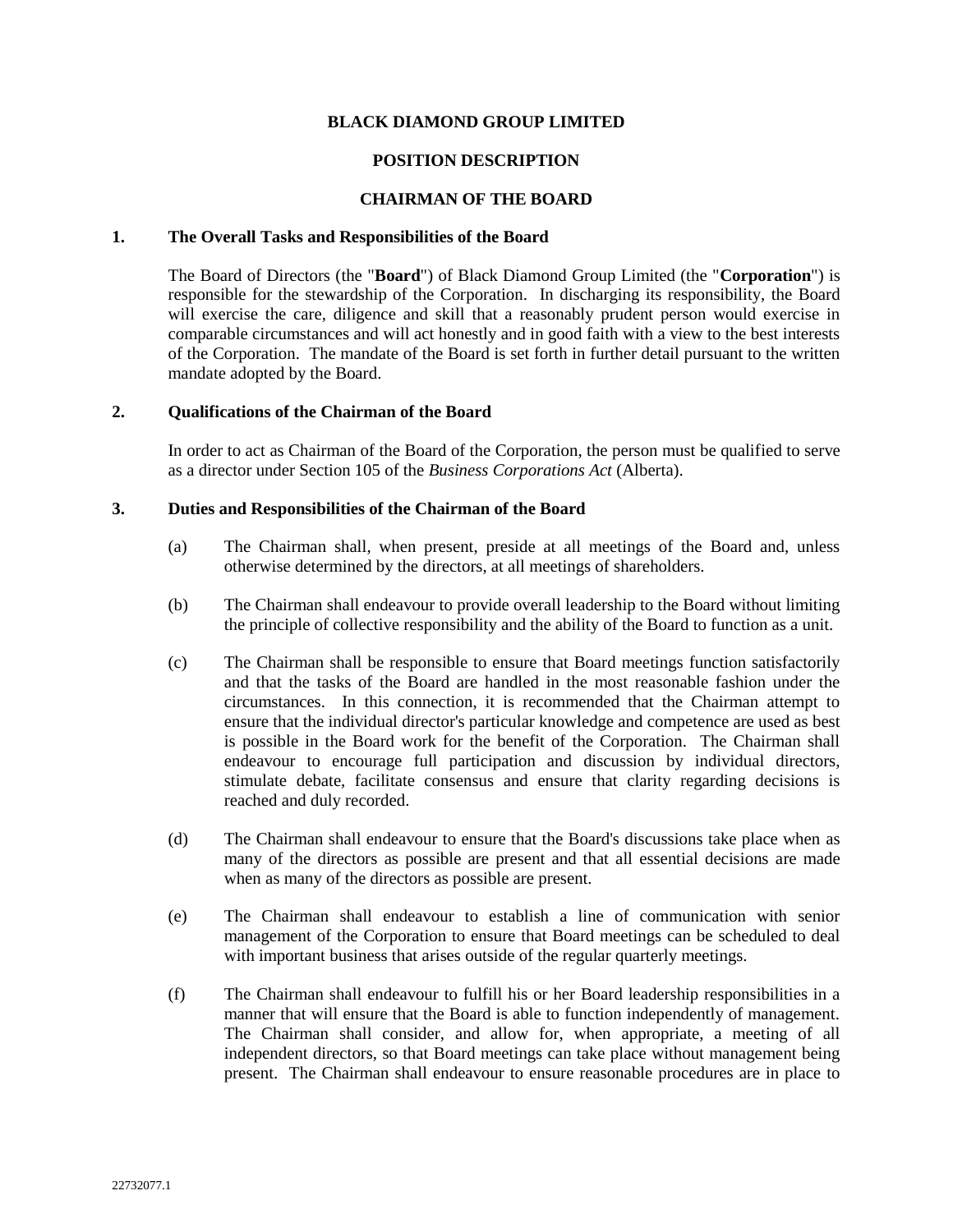## **BLACK DIAMOND GROUP LIMITED**

# **POSITION DESCRIPTION**

# **CHAIRMAN OF THE BOARD**

### **1. The Overall Tasks and Responsibilities of the Board**

The Board of Directors (the "**Board**") of Black Diamond Group Limited (the "**Corporation**") is responsible for the stewardship of the Corporation. In discharging its responsibility, the Board will exercise the care, diligence and skill that a reasonably prudent person would exercise in comparable circumstances and will act honestly and in good faith with a view to the best interests of the Corporation. The mandate of the Board is set forth in further detail pursuant to the written mandate adopted by the Board.

### **2. Qualifications of the Chairman of the Board**

In order to act as Chairman of the Board of the Corporation, the person must be qualified to serve as a director under Section 105 of the *Business Corporations Act* (Alberta).

### **3. Duties and Responsibilities of the Chairman of the Board**

- (a) The Chairman shall, when present, preside at all meetings of the Board and, unless otherwise determined by the directors, at all meetings of shareholders.
- (b) The Chairman shall endeavour to provide overall leadership to the Board without limiting the principle of collective responsibility and the ability of the Board to function as a unit.
- (c) The Chairman shall be responsible to ensure that Board meetings function satisfactorily and that the tasks of the Board are handled in the most reasonable fashion under the circumstances. In this connection, it is recommended that the Chairman attempt to ensure that the individual director's particular knowledge and competence are used as best is possible in the Board work for the benefit of the Corporation. The Chairman shall endeavour to encourage full participation and discussion by individual directors, stimulate debate, facilitate consensus and ensure that clarity regarding decisions is reached and duly recorded.
- (d) The Chairman shall endeavour to ensure that the Board's discussions take place when as many of the directors as possible are present and that all essential decisions are made when as many of the directors as possible are present.
- (e) The Chairman shall endeavour to establish a line of communication with senior management of the Corporation to ensure that Board meetings can be scheduled to deal with important business that arises outside of the regular quarterly meetings.
- (f) The Chairman shall endeavour to fulfill his or her Board leadership responsibilities in a manner that will ensure that the Board is able to function independently of management. The Chairman shall consider, and allow for, when appropriate, a meeting of all independent directors, so that Board meetings can take place without management being present. The Chairman shall endeavour to ensure reasonable procedures are in place to